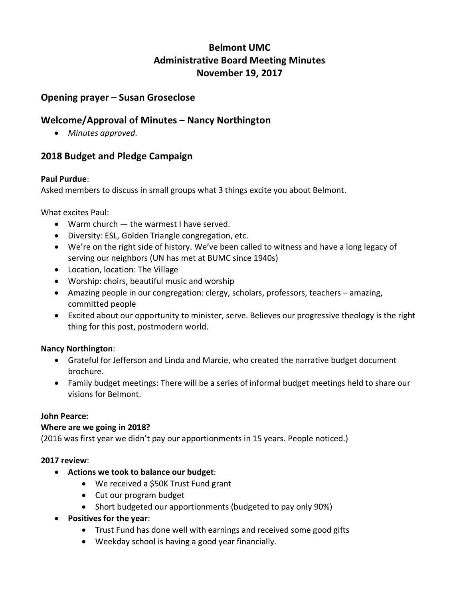# **Belmont UMC Administrative Board Meeting Minutes November 19, 2017**

## **Opening prayer – Susan Groseclose**

## **Welcome/Approval of Minutes – Nancy Northington**

• *Minutes approved*.

## **2018 Budget and Pledge Campaign**

#### **Paul Purdue**:

Asked members to discuss in small groups what 3 things excite you about Belmont.

What excites Paul:

- Warm church the warmest I have served.
- Diversity: ESL, Golden Triangle congregation, etc.
- We're on the right side of history. We've been called to witness and have a long legacy of serving our neighbors (UN has met at BUMC since 1940s)
- Location, location: The Village
- Worship: choirs, beautiful music and worship
- Amazing people in our congregation: clergy, scholars, professors, teachers amazing, committed people
- Excited about our opportunity to minister, serve. Believes our progressive theology is the right thing for this post, postmodern world.

#### **Nancy Northington**:

- Grateful for Jefferson and Linda and Marcie, who created the narrative budget document brochure.
- Family budget meetings: There will be a series of informal budget meetings held to share our visions for Belmont.

#### **John Pearce:**

#### **Where are we going in 2018?**

(2016 was first year we didn't pay our apportionments in 15 years. People noticed.)

#### **2017 review**:

- **Actions we took to balance our budget**:
	- We received a \$50K Trust Fund grant
	- Cut our program budget
	- Short budgeted our apportionments (budgeted to pay only 90%)
- **Positives for the year**:
	- Trust Fund has done well with earnings and received some good gifts
	- Weekday school is having a good year financially.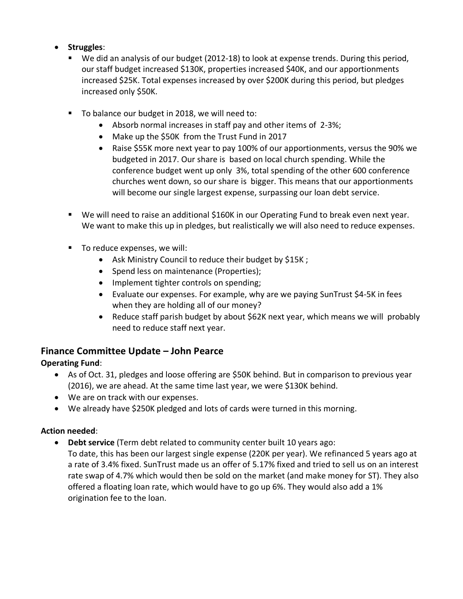#### • **Struggles**:

- We did an analysis of our budget (2012-18) to look at expense trends. During this period, our staff budget increased \$130K, properties increased \$40K, and our apportionments increased \$25K. Total expenses increased by over \$200K during this period, but pledges increased only \$50K.
- To balance our budget in 2018, we will need to:
	- Absorb normal increases in staff pay and other items of 2-3%;
	- Make up the \$50K from the Trust Fund in 2017
	- Raise \$55K more next year to pay 100% of our apportionments, versus the 90% we budgeted in 2017. Our share is based on local church spending. While the conference budget went up only 3%, total spending of the other 600 conference churches went down, so our share is bigger. This means that our apportionments will become our single largest expense, surpassing our loan debt service.
- We will need to raise an additional \$160K in our Operating Fund to break even next year. We want to make this up in pledges, but realistically we will also need to reduce expenses.
- To reduce expenses, we will:
	- Ask Ministry Council to reduce their budget by \$15K ;
	- Spend less on maintenance (Properties);
	- Implement tighter controls on spending;
	- Evaluate our expenses. For example, why are we paying SunTrust \$4-5K in fees when they are holding all of our money?
	- Reduce staff parish budget by about \$62K next year, which means we will probably need to reduce staff next year.

# **Finance Committee Update – John Pearce**

## **Operating Fund**:

- As of Oct. 31, pledges and loose offering are \$50K behind. But in comparison to previous year (2016), we are ahead. At the same time last year, we were \$130K behind.
- We are on track with our expenses.
- We already have \$250K pledged and lots of cards were turned in this morning.

#### **Action needed**:

- **Debt service** (Term debt related to community center built 10 years ago:
	- To date, this has been our largest single expense (220K per year). We refinanced 5 years ago at a rate of 3.4% fixed. SunTrust made us an offer of 5.17% fixed and tried to sell us on an interest rate swap of 4.7% which would then be sold on the market (and make money for ST). They also offered a floating loan rate, which would have to go up 6%. They would also add a 1% origination fee to the loan.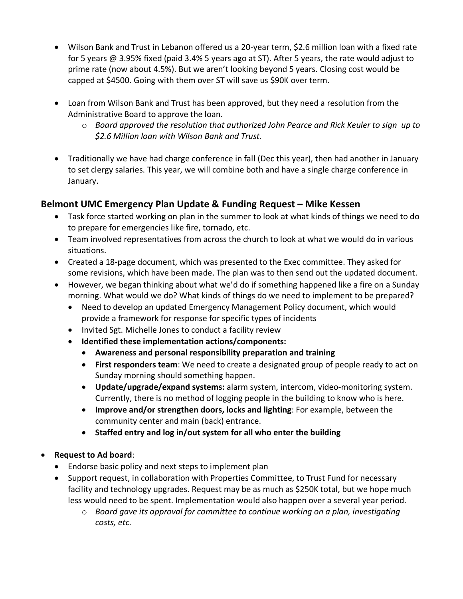- Wilson Bank and Trust in Lebanon offered us a 20-year term, \$2.6 million loan with a fixed rate for 5 years @ 3.95% fixed (paid 3.4% 5 years ago at ST). After 5 years, the rate would adjust to prime rate (now about 4.5%). But we aren't looking beyond 5 years. Closing cost would be capped at \$4500. Going with them over ST will save us \$90K over term.
- Loan from Wilson Bank and Trust has been approved, but they need a resolution from the Administrative Board to approve the loan.
	- o *Board approved the resolution that authorized John Pearce and Rick Keuler to sign up to \$2.6 Million loan with Wilson Bank and Trust.*
- Traditionally we have had charge conference in fall (Dec this year), then had another in January to set clergy salaries. This year, we will combine both and have a single charge conference in January.

# **Belmont UMC Emergency Plan Update & Funding Request – Mike Kessen**

- Task force started working on plan in the summer to look at what kinds of things we need to do to prepare for emergencies like fire, tornado, etc.
- Team involved representatives from across the church to look at what we would do in various situations.
- Created a 18-page document, which was presented to the Exec committee. They asked for some revisions, which have been made. The plan was to then send out the updated document.
- However, we began thinking about what we'd do if something happened like a fire on a Sunday morning. What would we do? What kinds of things do we need to implement to be prepared?
	- Need to develop an updated Emergency Management Policy document, which would provide a framework for response for specific types of incidents
	- Invited Sgt. Michelle Jones to conduct a facility review
	- **Identified these implementation actions/components:**
		- **Awareness and personal responsibility preparation and training**
		- **First responders team**: We need to create a designated group of people ready to act on Sunday morning should something happen.
		- **Update/upgrade/expand systems:** alarm system, intercom, video-monitoring system. Currently, there is no method of logging people in the building to know who is here.
		- **Improve and/or strengthen doors, locks and lighting**: For example, between the community center and main (back) entrance.
		- **Staffed entry and log in/out system for all who enter the building**

## • **Request to Ad board**:

- Endorse basic policy and next steps to implement plan
- Support request, in collaboration with Properties Committee, to Trust Fund for necessary facility and technology upgrades. Request may be as much as \$250K total, but we hope much less would need to be spent. Implementation would also happen over a several year period.
	- o *Board gave its approval for committee to continue working on a plan, investigating costs, etc.*